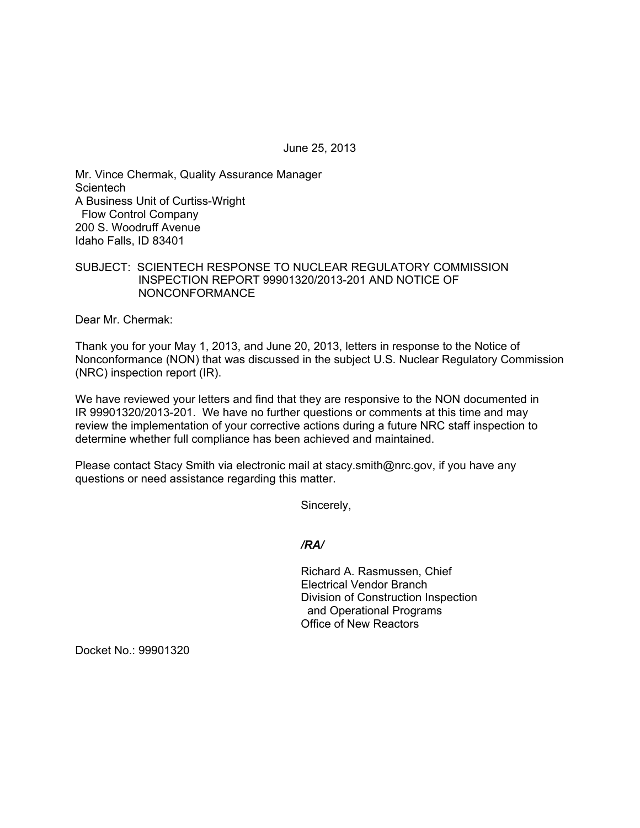June 25, 2013

Mr. Vince Chermak, Quality Assurance Manager **Scientech** A Business Unit of Curtiss-Wright Flow Control Company 200 S. Woodruff Avenue Idaho Falls, ID 83401

## SUBJECT: SCIENTECH RESPONSE TO NUCLEAR REGULATORY COMMISSION INSPECTION REPORT 99901320/2013-201 AND NOTICE OF NONCONFORMANCE

Dear Mr. Chermak:

Thank you for your May 1, 2013, and June 20, 2013, letters in response to the Notice of Nonconformance (NON) that was discussed in the subject U.S. Nuclear Regulatory Commission (NRC) inspection report (IR).

We have reviewed your letters and find that they are responsive to the NON documented in IR 99901320/2013-201. We have no further questions or comments at this time and may review the implementation of your corrective actions during a future NRC staff inspection to determine whether full compliance has been achieved and maintained.

Please contact Stacy Smith via electronic mail at stacy.smith@nrc.gov, if you have any questions or need assistance regarding this matter.

Sincerely,

## */RA/*

Richard A. Rasmussen, Chief Electrical Vendor Branch Division of Construction Inspection and Operational Programs Office of New Reactors

Docket No.: 99901320